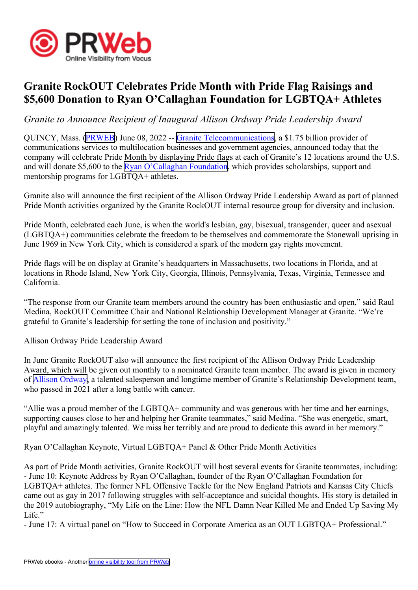

## **Granite RockOUT Celebrates Pride Month with Pride Flag Raisings and \$5,600 Donation to Ryan O'Callaghan Foundation for LGBTQA+ Athletes**

*Granite to Announce Recipient of Inaugural Allison Ordway Pride Leadership Award*

QUINCY, Mass. ([PRWEB](http://www.prweb.com)) June 08, 2022 -- Granite [Telecommunications](https://www.granitenet.com/), <sup>a</sup> \$1.75 billion provider of communications services to multilocation businesses and governmen<sup>t</sup> agencies, announced today that the company will celebrate Pride Month by displaying Pride flags at each of Granite's 12 locations around the U.S. and will donate \$5,600 to the Ryan [O'Callaghan](https://www.rofdn.org/) Foundation, which provides scholarships, support and mentorship programs for LGBTQA+ athletes.

Granite also will announce the first recipient of the Allison Ordway Pride Leadership Award as par<sup>t</sup> of planned Pride Month activities organized by the Granite RockOUT internal resource group for diversity and inclusion.

Pride Month, celebrated each June, is when the world's lesbian, gay, bisexual, transgender, queer and asexual (LGBTQA+) communities celebrate the freedom to be themselves and commemorate the Stonewall uprising in June 1969 in New York City, which is considered <sup>a</sup> spark of the modern gay rights movement.

Pride flags will be on display at Granite's headquarters in Massachusetts, two locations in Florida, and at locations in Rhode Island, New York City, Georgia, Illinois, Pennsylvania, Texas, Virginia, Tennessee and California.

"The response from our Granite team members around the country has been enthusiastic and open," said Raul Medina, RockOUT Committee Chair and National Relationship Development Manager at Granite. "We're grateful to Granite's leadership for setting the tone of inclusion and positivity."

Allison Ordway Pride Leadership Award

In June Granite RockOUT also will announce the first recipient of the Allison Ordway Pride Leadership Award, which will be given out monthly to <sup>a</sup> nominated Granite team member. The award is given in memory of Allison [Ordway](https://www.legacy.com/us/obituaries/bostonglobe/name/allison-ordway-obituary?id=23115412), <sup>a</sup> talented salesperson and longtime member of Granite's Relationship Development team, who passed in 2021 after <sup>a</sup> long battle with cancer.

"Allie was <sup>a</sup> proud member of the LGBTQA+ community and was generous with her time and her earnings, supporting causes close to her and helping her Granite teammates," said Medina. "She was energetic, smart, playful and amazingly talented. We miss her terribly and are proud to dedicate this award in her memory."

Ryan O'Callaghan Keynote, Virtual LGBTQA+ Panel & Other Pride Month Activities

As par<sup>t</sup> of Pride Month activities, Granite RockOUT will host several events for Granite teammates, including: - June 10: Keynote Address by Ryan O'Callaghan, founder of the Ryan O'Callaghan Foundation for LGBTQA+ athletes. The former NFL Offensive Tackle for the New England Patriots and Kansas City Chiefs came out as gay in 2017 following struggles with self-acceptance and suicidal thoughts. His story is detailed in the 2019 autobiography, "My Life on the Line: How the NFL Damn Near Killed Me and Ended Up Saving My Life."

- June 17: A virtual panel on "How to Succeed in Corporate America as an OUT LGBTQA+ Professional."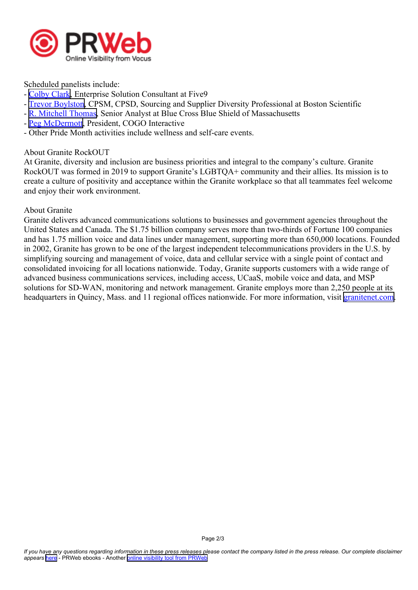

Scheduled panelists include:

- [Colby](https://www.linkedin.com/in/colbycycles/) Clark, Enterprise Solution Consultant at Five9
- Trevor [Boylston](https://www.linkedin.com/in/trevor-boylston-cpsm-cpsd-4702444/), CPSM, CPSD, Sourcing and Supplier Diversity Professional at Boston Scientific
- R. Mitchell [Thomas](https://www.linkedin.com/in/rmitchellthomas/), Senior Analyst at Blue Cross Blue Shield of Massachusetts
- Peg [McDermott](https://www.linkedin.com/in/pegmcdermott/), President, COGO Interactive
- Other Pride Month activities include wellness and self-care events.

## About Granite RockOUT

At Granite, diversity and inclusion are business priorities and integral to the company's culture. Granite RockOUT was formed in 2019 to suppor<sup>t</sup> Granite's LGBTQA+ community and their allies. Its mission is to create <sup>a</sup> culture of positivity and acceptance within the Granite workplace so that all teammates feel welcome and enjoy their work environment.

## About Granite

Granite delivers advanced communications solutions to businesses and governmen<sup>t</sup> agencies throughout the United States and Canada. The \$1.75 billion company serves more than two-thirds of Fortune 100 companies and has 1.75 million voice and data lines under management, supporting more than 650,000 locations. Founded in 2002, Granite has grown to be one of the largest independent telecommunications providers in the U.S. by simplifying sourcing and managemen<sup>t</sup> of voice, data and cellular service with <sup>a</sup> single point of contact and consolidated invoicing for all locations nationwide. Today, Granite supports customers with <sup>a</sup> wide range of advanced business communications services, including access, UCaaS, mobile voice and data, and MSP solutions for SD-WAN, monitoring and network management. Granite employs more than 2,250 people at its headquarters in Quincy, Mass. and 11 regional offices nationwide. For more information, visit gran[itenet.com](https://www.granitenet.com/).